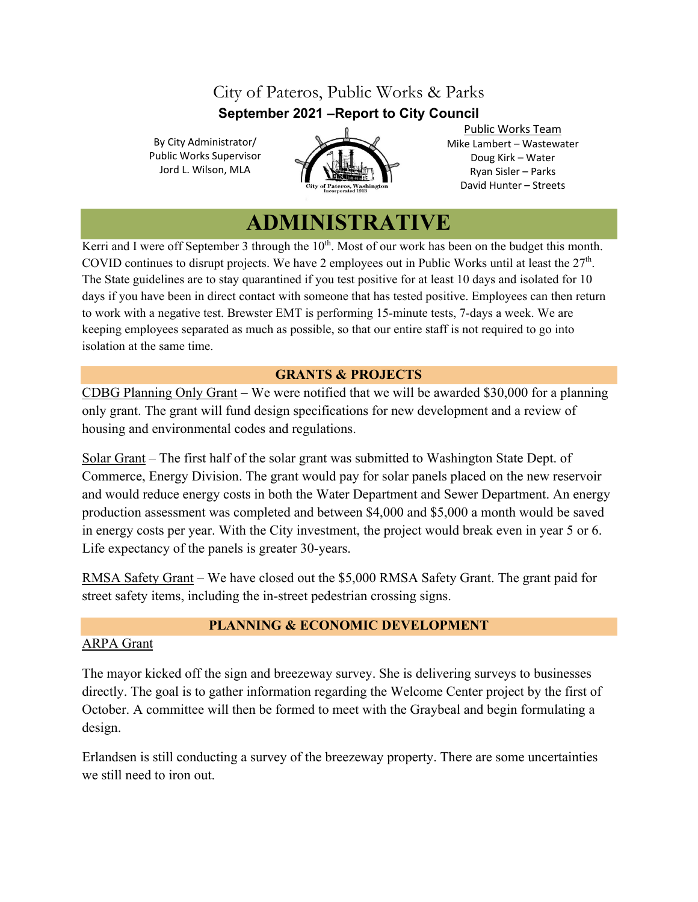## City of Pateros, Public Works & Parks **September 2021 –Report to City Council**

By City Administrator/ Public Works Supervisor Jord L. Wilson, MLA



Public Works Team Mike Lambert – Wastewater Doug Kirk – Water Ryan Sisler – Parks David Hunter – Streets

# **ADMINISTRATIVE**

Kerri and I were off September 3 through the  $10<sup>th</sup>$ . Most of our work has been on the budget this month. COVID continues to disrupt projects. We have 2 employees out in Public Works until at least the 27<sup>th</sup>. The State guidelines are to stay quarantined if you test positive for at least 10 days and isolated for 10 days if you have been in direct contact with someone that has tested positive. Employees can then return to work with a negative test. Brewster EMT is performing 15-minute tests, 7-days a week. We are keeping employees separated as much as possible, so that our entire staff is not required to go into isolation at the same time.

### **GRANTS & PROJECTS**

CDBG Planning Only Grant – We were notified that we will be awarded \$30,000 for a planning only grant. The grant will fund design specifications for new development and a review of housing and environmental codes and regulations.

Solar Grant – The first half of the solar grant was submitted to Washington State Dept. of Commerce, Energy Division. The grant would pay for solar panels placed on the new reservoir and would reduce energy costs in both the Water Department and Sewer Department. An energy production assessment was completed and between \$4,000 and \$5,000 a month would be saved in energy costs per year. With the City investment, the project would break even in year 5 or 6. Life expectancy of the panels is greater 30-years.

RMSA Safety Grant – We have closed out the \$5,000 RMSA Safety Grant. The grant paid for street safety items, including the in-street pedestrian crossing signs.

### **PLANNING & ECONOMIC DEVELOPMENT**

### ARPA Grant

The mayor kicked off the sign and breezeway survey. She is delivering surveys to businesses directly. The goal is to gather information regarding the Welcome Center project by the first of October. A committee will then be formed to meet with the Graybeal and begin formulating a design.

Erlandsen is still conducting a survey of the breezeway property. There are some uncertainties we still need to iron out.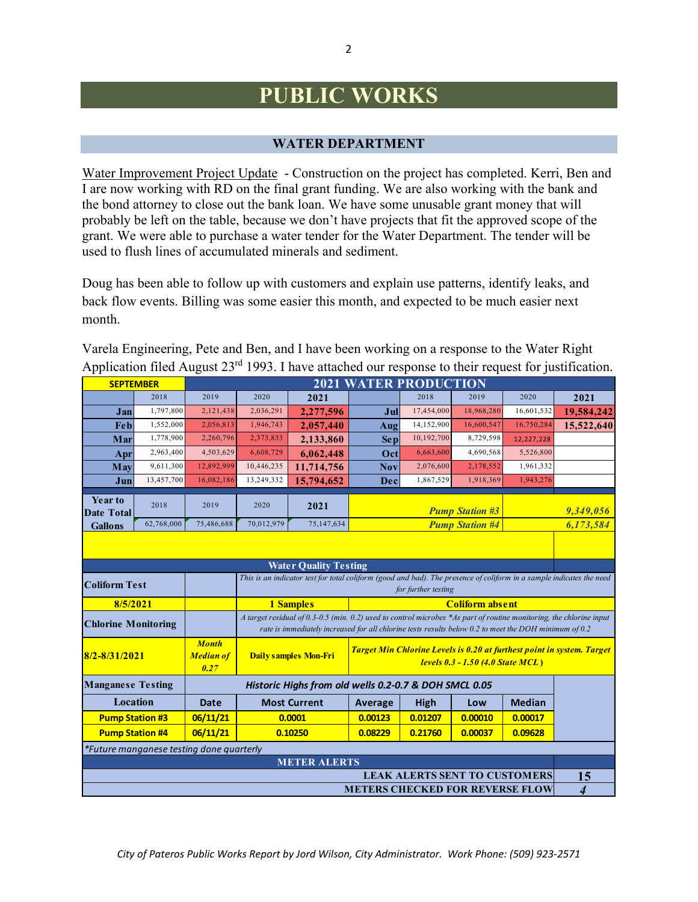# **PUBLIC WORKS**

#### **WATER DEPARTMENT**

Water Improvement Project Update - Construction on the project has completed. Kerri, Ben and I are now working with RD on the final grant funding. We are also working with the bank and the bond attorney to close out the bank loan. We have some unusable grant money that will probably be left on the table, because we don't have projects that fit the approved scope of the grant. We were able to purchase a water tender for the Water Department. The tender will be used to flush lines of accumulated minerals and sediment.

Doug has been able to follow up with customers and explain use patterns, identify leaks, and back flow events. Billing was some easier this month, and expected to be much easier next month.

| Varela Engineering, Pete and Ben, and I have been working on a response to the Water Right             |  |
|--------------------------------------------------------------------------------------------------------|--|
| Application filed August $23rd$ 1993. I have attached our response to their request for justification. |  |

| <b>SEPTEMBER</b>                                              |                                                                                                                                                                                                                                                            | <b>2021 WATER PRODUCTION</b> |                                                                                                                                                    |                                                                                                                      |                        |                                      |                        |               |                |
|---------------------------------------------------------------|------------------------------------------------------------------------------------------------------------------------------------------------------------------------------------------------------------------------------------------------------------|------------------------------|----------------------------------------------------------------------------------------------------------------------------------------------------|----------------------------------------------------------------------------------------------------------------------|------------------------|--------------------------------------|------------------------|---------------|----------------|
|                                                               | 2018                                                                                                                                                                                                                                                       | 2019                         | 2020                                                                                                                                               | 2021                                                                                                                 |                        | 2018                                 | 2019                   | 2020          | 2021           |
| Jan                                                           | 1,797,800                                                                                                                                                                                                                                                  | 2,121,438                    | 2,036,291                                                                                                                                          | 2,277,596                                                                                                            | Jul                    | 17,454,000                           | 18,968,280             | 16,601,532    | 19,584,242     |
| Feb                                                           | 1,552,000                                                                                                                                                                                                                                                  | 2,056,813                    | 1,946,743                                                                                                                                          | 2,057,440                                                                                                            | Aug                    | 14,152,900                           | 16,600,547             | 16,750,284    | 15,522,640     |
| 1,778,900<br>Mar                                              |                                                                                                                                                                                                                                                            | 2,260,796                    | 2,373,833                                                                                                                                          | 2,133,860                                                                                                            | Sep                    | 10,192,700                           | 8,729,598              | 12,227,228    |                |
| Apr                                                           | 2,963,400<br>4,503,629<br>6,608,729<br>6,062,448                                                                                                                                                                                                           |                              | Oct                                                                                                                                                | 6,663,600                                                                                                            | 4,690,568              | 5,526,800                            |                        |               |                |
| May                                                           | 9,611,300                                                                                                                                                                                                                                                  | 12,892,999                   | 10,446,235                                                                                                                                         | 11,714,756                                                                                                           | <b>Nov</b>             | 2,076,600                            | 2,178,552              | 1,961,332     |                |
| Jun                                                           | 13,457,700                                                                                                                                                                                                                                                 | 16,082,186                   | 13,249,332                                                                                                                                         | 15,794,652                                                                                                           | Dec                    | 1,867,529                            | 1,918,369              | 1,943,276     |                |
| Year to<br>2018<br><b>Date Total</b>                          |                                                                                                                                                                                                                                                            | 2019                         | 2020                                                                                                                                               | 2021                                                                                                                 | <b>Pump Station #3</b> |                                      |                        |               | 9,349,056      |
| <b>Gallons</b>                                                | 62,768,000                                                                                                                                                                                                                                                 | 75,486,688                   | 70,012,979                                                                                                                                         | 75,147,634                                                                                                           |                        |                                      | <b>Pump Station #4</b> |               | 6,173,584      |
|                                                               |                                                                                                                                                                                                                                                            |                              |                                                                                                                                                    |                                                                                                                      |                        |                                      |                        |               |                |
| <b>Water Quality Testing</b>                                  |                                                                                                                                                                                                                                                            |                              |                                                                                                                                                    |                                                                                                                      |                        |                                      |                        |               |                |
| <b>Coliform Test</b>                                          |                                                                                                                                                                                                                                                            |                              |                                                                                                                                                    | This is an indicator test for total coliform (good and bad). The presence of coliform in a sample indicates the need |                        | for further testing                  |                        |               |                |
| 8/5/2021                                                      |                                                                                                                                                                                                                                                            |                              | <b>1 Samples</b>                                                                                                                                   |                                                                                                                      |                        |                                      |                        |               |                |
|                                                               | A target residual of 0.3-0.5 (min. 0.2) used to control microbes *As part of routine monitoring, the chlorine input<br><b>Chlorine Monitoring</b><br>rate is immediately increased for all chlorine tests results below 0.2 to meet the DOH minimum of 0.2 |                              |                                                                                                                                                    |                                                                                                                      |                        |                                      |                        |               |                |
| <b>Month</b><br>$8/2 - 8/31/2021$<br><b>Median of</b><br>0.27 |                                                                                                                                                                                                                                                            |                              | Target Min Chlorine Levels is 0.20 at furthest point in system. Target<br><b>Daily samples Mon-Fri</b><br><b>levels 0.3 - 1.50 (4.0 State MCL)</b> |                                                                                                                      |                        |                                      |                        |               |                |
| <b>Manganese Testing</b>                                      |                                                                                                                                                                                                                                                            |                              | Historic Highs from old wells 0.2-0.7 & DOH SMCL 0.05                                                                                              |                                                                                                                      |                        |                                      |                        |               |                |
| <b>Location</b>                                               |                                                                                                                                                                                                                                                            | <b>Date</b>                  | <b>Most Current</b>                                                                                                                                |                                                                                                                      | Average                | <b>High</b>                          | Low                    | <b>Median</b> |                |
| <b>Pump Station #3</b>                                        |                                                                                                                                                                                                                                                            | 06/11/21                     | 0.0001                                                                                                                                             |                                                                                                                      | 0.00123                | 0.01207                              | 0.00010                | 0.00017       |                |
| <b>Pump Station #4</b>                                        |                                                                                                                                                                                                                                                            | 06/11/21                     | 0.10250                                                                                                                                            |                                                                                                                      | 0.08229                | 0.21760                              | 0.00037                | 0.09628       |                |
| *Future manganese testing done quarterly                      |                                                                                                                                                                                                                                                            |                              |                                                                                                                                                    |                                                                                                                      |                        |                                      |                        |               |                |
| <b>METER ALERTS</b>                                           |                                                                                                                                                                                                                                                            |                              |                                                                                                                                                    |                                                                                                                      |                        |                                      |                        |               |                |
|                                                               |                                                                                                                                                                                                                                                            |                              |                                                                                                                                                    |                                                                                                                      |                        | <b>LEAK ALERTS SENT TO CUSTOMERS</b> |                        |               | 15             |
| <b>METERS CHECKED FOR REVERSE FLOW</b>                        |                                                                                                                                                                                                                                                            |                              |                                                                                                                                                    |                                                                                                                      |                        |                                      |                        |               | $\overline{4}$ |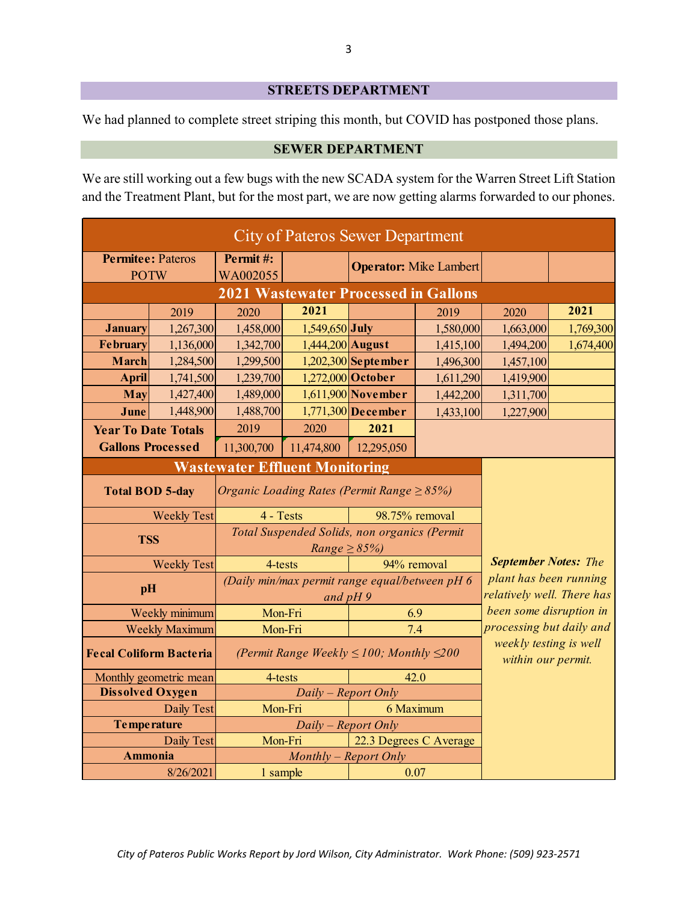### **STREETS DEPARTMENT**

We had planned to complete street striping this month, but COVID has postponed those plans.

#### **SEWER DEPARTMENT**

We are still working out a few bugs with the new SCADA system for the Warren Street Lift Station and the Treatment Plant, but for the most part, we are now getting alarms forwarded to our phones.

| City of Pateros Sewer Department |            |                                                 |                                                                   |                                                      |                               |                                                     |           |  |
|----------------------------------|------------|-------------------------------------------------|-------------------------------------------------------------------|------------------------------------------------------|-------------------------------|-----------------------------------------------------|-----------|--|
| <b>Permitee: Pateros</b>         |            | Permit#:                                        |                                                                   |                                                      | <b>Operator:</b> Mike Lambert |                                                     |           |  |
| <b>POTW</b>                      |            | WA002055                                        |                                                                   |                                                      |                               |                                                     |           |  |
|                                  |            |                                                 |                                                                   |                                                      |                               |                                                     |           |  |
|                                  | 2019       | 2020                                            | 2021                                                              |                                                      | 2019                          | 2020                                                | 2021      |  |
| <b>January</b>                   | 1,267,300  | 1,458,000                                       | $1,549,650$ July                                                  |                                                      | 1,580,000                     | 1,663,000                                           | 1,769,300 |  |
| <b>February</b>                  | 1,136,000  | 1,342,700                                       | $1,444,200$ August                                                |                                                      | 1,415,100                     | 1,494,200                                           | 1,674,400 |  |
| March                            | 1,284,500  | 1,299,500                                       |                                                                   | $1,202,300$ September                                | 1,496,300                     | 1,457,100                                           |           |  |
| <b>April</b>                     | 1,741,500  | 1,239,700                                       |                                                                   | $1,272,000$ October                                  | 1,611,290                     | 1,419,900                                           |           |  |
| <b>May</b>                       | 1,427,400  | 1,489,000                                       |                                                                   | $1,611,900$ November                                 | 1,442,200                     | 1,311,700                                           |           |  |
| June                             | 1,448,900  | 1,488,700                                       |                                                                   | $1,771,300$ December                                 | 1,433,100                     | 1,227,900                                           |           |  |
| <b>Year To Date Totals</b>       |            | 2019                                            | 2020                                                              | 2021                                                 |                               |                                                     |           |  |
| <b>Gallons Processed</b>         |            | 11,300,700                                      | 11,474,800                                                        | 12,295,050                                           |                               |                                                     |           |  |
|                                  |            | <b>Wastewater Effluent Monitoring</b>           |                                                                   |                                                      |                               |                                                     |           |  |
| <b>Total BOD 5-day</b>           |            | Organic Loading Rates (Permit Range $\geq$ 85%) |                                                                   |                                                      |                               |                                                     |           |  |
| <b>Weekly Test</b>               |            | 4 - Tests                                       |                                                                   | 98.75% removal                                       |                               |                                                     |           |  |
| <b>TSS</b>                       |            |                                                 | Total Suspended Solids, non organics (Permit<br>Range $\geq$ 85%) |                                                      |                               |                                                     |           |  |
| <b>Weekly Test</b>               |            | 4-tests                                         |                                                                   | 94% removal                                          |                               | <b>September Notes: The</b>                         |           |  |
| pH                               |            |                                                 | (Daily min/max permit range equal/between pH 6<br>and $pH$ 9      | plant has been running<br>relatively well. There has |                               |                                                     |           |  |
| Weekly minimum                   |            | Mon-Fri                                         |                                                                   | 6.9                                                  |                               | been some disruption in<br>processing but daily and |           |  |
| Weekly Maximum                   |            | Mon-Fri                                         |                                                                   | 7.4                                                  |                               |                                                     |           |  |
| <b>Fecal Coliform Bacteria</b>   |            |                                                 | (Permit Range Weekly $\leq 100$ ; Monthly $\leq 200$              | weekly testing is well<br>within our permit.         |                               |                                                     |           |  |
| Monthly geometric mean           |            | 4-tests                                         |                                                                   |                                                      | 42.0                          |                                                     |           |  |
| <b>Dissolved Oxygen</b>          |            |                                                 | Daily – Report Only                                               |                                                      |                               |                                                     |           |  |
|                                  | Daily Test | Mon-Fri                                         |                                                                   |                                                      |                               |                                                     |           |  |
| <b>Temperature</b>               |            |                                                 | Daily – Report Only                                               |                                                      |                               |                                                     |           |  |
|                                  | Daily Test | Mon-Fri                                         |                                                                   | 22.3 Degrees C Average                               |                               |                                                     |           |  |
| <b>Ammonia</b>                   |            |                                                 | Monthly - Report Only                                             |                                                      |                               |                                                     |           |  |
|                                  | 8/26/2021  | 1 sample                                        |                                                                   | 0.07                                                 |                               |                                                     |           |  |